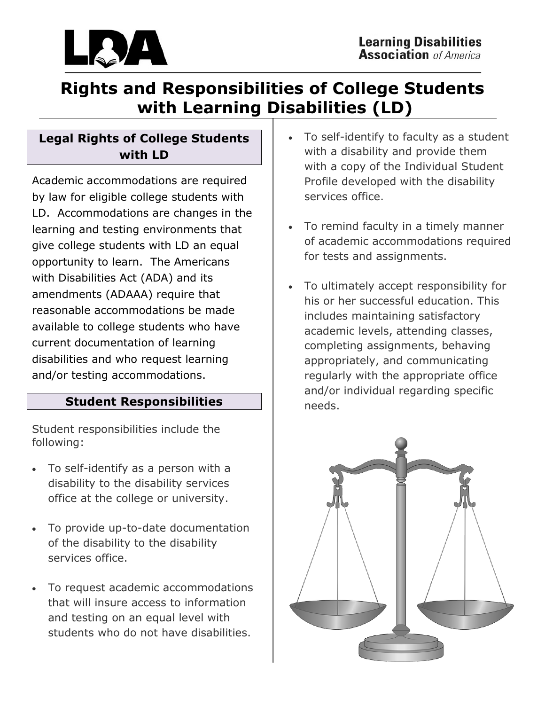

# **Rights and Responsibilities of College Students with Learning Disabilities (LD)**

### **Legal Rights of College Students with LD**

Academic accommodations are required by law for eligible college students with LD. Accommodations are changes in the learning and testing environments that give college students with LD an equal opportunity to learn. The Americans with Disabilities Act (ADA) and its amendments (ADAAA) require that reasonable accommodations be made available to college students who have current documentation of learning disabilities and who request learning and/or testing accommodations.

### **Student Responsibilities**

Student responsibilities include the following:

- To self-identify as a person with a disability to the disability services office at the college or university.
- To provide up-to-date documentation of the disability to the disability services office.
- To request academic accommodations that will insure access to information and testing on an equal level with students who do not have disabilities.
- To self-identify to faculty as a student with a disability and provide them with a copy of the Individual Student Profile developed with the disability services office.
- To remind faculty in a timely manner of academic accommodations required for tests and assignments.
- To ultimately accept responsibility for his or her successful education. This includes maintaining satisfactory academic levels, attending classes, completing assignments, behaving appropriately, and communicating regularly with the appropriate office and/or individual regarding specific needs.